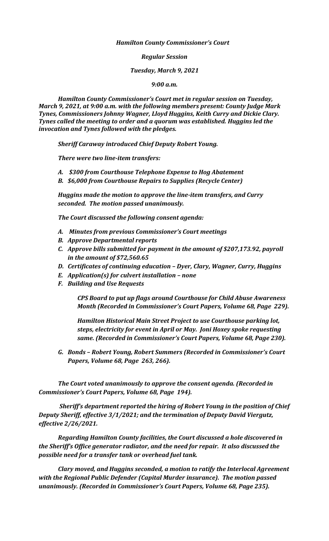*Hamilton County Commissioner's Court*

*Regular Session*

*Tuesday, March 9, 2021*

*9:00 a.m.*

*Hamilton County Commissioner's Court met in regular session on Tuesday, March 9, 2021, at 9:00 a.m. with the following members present: County Judge Mark Tynes, Commissioners Johnny Wagner, Lloyd Huggins, Keith Curry and Dickie Clary. Tynes called the meeting to order and a quorum was established. Huggins led the invocation and Tynes followed with the pledges.*

*Sheriff Caraway introduced Chief Deputy Robert Young.*

*There were two line-item transfers:*

- *A. \$300 from Courthouse Telephone Expense to Hog Abatement*
- *B. \$6,000 from Courthouse Repairs to Supplies (Recycle Center)*

*Huggins made the motion to approve the line-item transfers, and Curry seconded. The motion passed unanimously.*

*The Court discussed the following consent agenda:*

- *A. Minutes from previous Commissioner's Court meetings*
- *B. Approve Departmental reports*
- *C. Approve bills submitted for payment in the amount of \$207,173.92, payroll in the amount of \$72,560.65*
- *D. Certificates of continuing education – Dyer, Clary, Wagner, Curry, Huggins*
- *E. Application(s) for culvert installation – none*
- *F. Building and Use Requests*

*CPS Board to put up flags around Courthouse for Child Abuse Awareness Month (Recorded in Commissioner's Court Papers, Volume 68, Page 229).*

*Hamilton Historical Main Street Project to use Courthouse parking lot, steps, electricity for event in April or May. Joni Hoxey spoke requesting same. (Recorded in Commissioner's Court Papers, Volume 68, Page 230).*

*G. Bonds – Robert Young, Robert Summers (Recorded in Commissioner's Court Papers, Volume 68, Page 263, 266).*

*The Court voted unanimously to approve the consent agenda. (Recorded in Commissioner's Court Papers, Volume 68, Page 194).*

*Sheriff's department reported the hiring of Robert Young in the position of Chief Deputy Sheriff, effective 3/1/2021; and the termination of Deputy David Viergutz, effective 2/26/2021.*

*Regarding Hamilton County facilities, the Court discussed a hole discovered in the Sheriff's Office generator radiator, and the need for repair. It also discussed the possible need for a transfer tank or overhead fuel tank.* 

*Clary moved, and Huggins seconded, a motion to ratify the Interlocal Agreement with the Regional Public Defender (Capital Murder insurance). The motion passed unanimously. (Recorded in Commissioner's Court Papers, Volume 68, Page 235).*